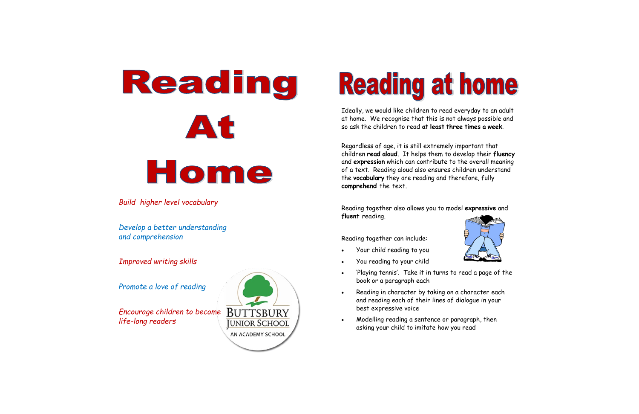# Reading At Home

*Build higher level vocabulary*

*Develop a better understanding and comprehension* 

*Improved writing skills* 

*Promote a love of reading* 

*Encourage children to become life -long readers*



## **Reading at home**

Ideally, we would like children to read everyday to an adult at home. We recognise that this is not always possible and so ask the children to read **at least three times a week**.

Regardless of age, it is still extremely important that children **read aloud**. It helps them to develop their **fluency**  and **expression** which can contribute to the overall meaning of a text. Reading aloud also ensures children understand the **vocabulary** they are reading and therefore, fully **comprehend** the text.

Reading together also allows you to model **expressive** and **fluent** reading.



Reading together can include:

Your child reading to you

- You reading to your child
- 'Playing tennis'. Take it in turns to read a page of the book or a paragraph each
- Reading in character by taking on a character each and reading each of their lines of dialogue in your best expressive voice
- Modelling reading a sentence or paragraph, then asking your child to imitate how you read